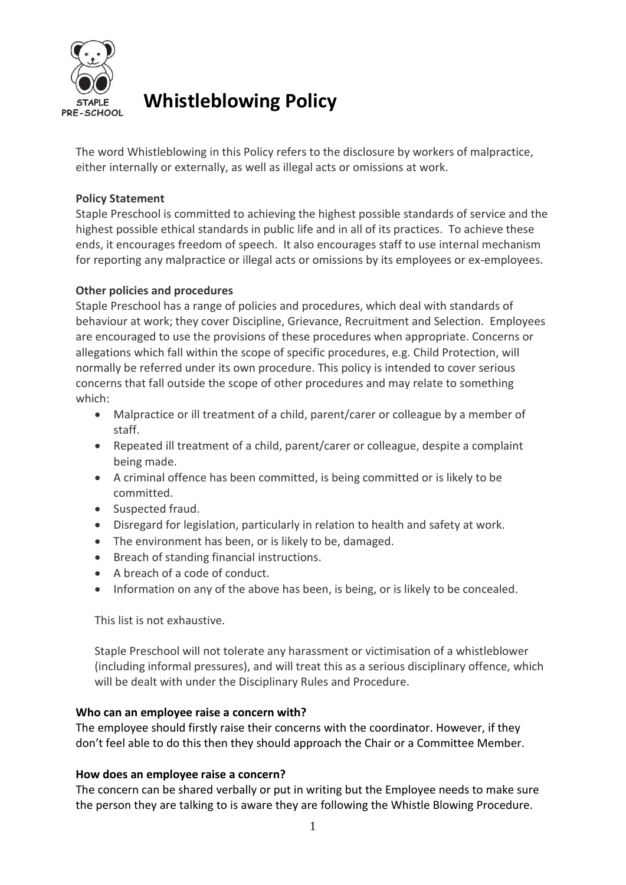

# **Whistleblowing Policy**

The word Whistleblowing in this Policy refers to the disclosure by workers of malpractice, either internally or externally, as well as illegal acts or omissions at work.

# **Policy Statement**

Staple Preschool is committed to achieving the highest possible standards of service and the highest possible ethical standards in public life and in all of its practices. To achieve these ends, it encourages freedom of speech. It also encourages staff to use internal mechanism for reporting any malpractice or illegal acts or omissions by its employees or ex-employees.

## **Other policies and procedures**

Staple Preschool has a range of policies and procedures, which deal with standards of behaviour at work; they cover Discipline, Grievance, Recruitment and Selection. Employees are encouraged to use the provisions of these procedures when appropriate. Concerns or allegations which fall within the scope of specific procedures, e.g. Child Protection, will normally be referred under its own procedure. This policy is intended to cover serious concerns that fall outside the scope of other procedures and may relate to something which:

- Malpractice or ill treatment of a child, parent/carer or colleague by a member of staff.
- Repeated ill treatment of a child, parent/carer or colleague, despite a complaint being made.
- A criminal offence has been committed, is being committed or is likely to be committed.
- Suspected fraud.
- Disregard for legislation, particularly in relation to health and safety at work.
- The environment has been, or is likely to be, damaged.
- Breach of standing financial instructions.
- A breach of a code of conduct.
- Information on any of the above has been, is being, or is likely to be concealed.

This list is not exhaustive.

Staple Preschool will not tolerate any harassment or victimisation of a whistleblower (including informal pressures), and will treat this as a serious disciplinary offence, which will be dealt with under the Disciplinary Rules and Procedure.

#### **Who can an employee raise a concern with?**

The employee should firstly raise their concerns with the coordinator. However, if they don't feel able to do this then they should approach the Chair or a Committee Member.

#### **How does an employee raise a concern?**

The concern can be shared verbally or put in writing but the Employee needs to make sure the person they are talking to is aware they are following the Whistle Blowing Procedure.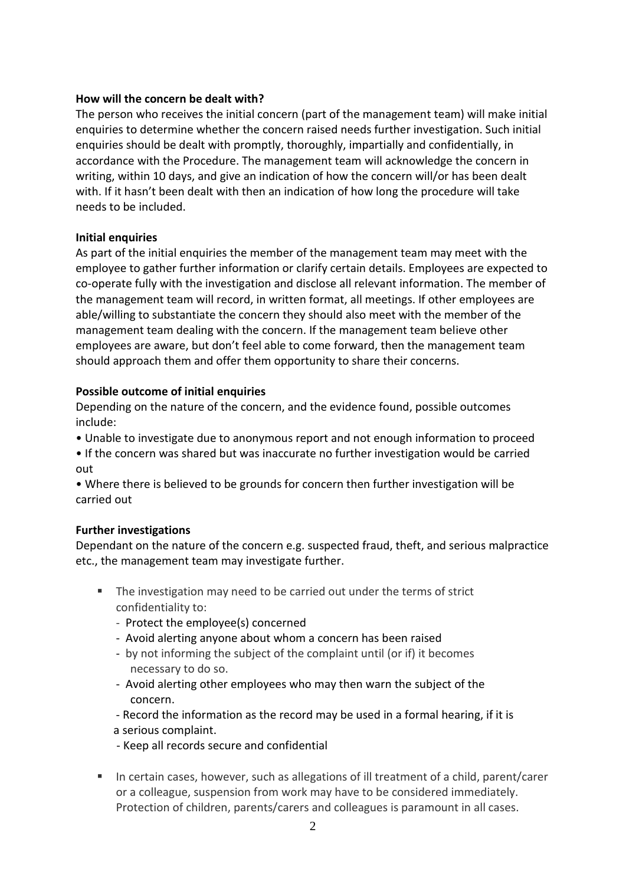## **How will the concern be dealt with?**

The person who receives the initial concern (part of the management team) will make initial enquiries to determine whether the concern raised needs further investigation. Such initial enquiries should be dealt with promptly, thoroughly, impartially and confidentially, in accordance with the Procedure. The management team will acknowledge the concern in writing, within 10 days, and give an indication of how the concern will/or has been dealt with. If it hasn't been dealt with then an indication of how long the procedure will take needs to be included.

## **Initial enquiries**

As part of the initial enquiries the member of the management team may meet with the employee to gather further information or clarify certain details. Employees are expected to co-operate fully with the investigation and disclose all relevant information. The member of the management team will record, in written format, all meetings. If other employees are able/willing to substantiate the concern they should also meet with the member of the management team dealing with the concern. If the management team believe other employees are aware, but don't feel able to come forward, then the management team should approach them and offer them opportunity to share their concerns.

## **Possible outcome of initial enquiries**

Depending on the nature of the concern, and the evidence found, possible outcomes include:

- Unable to investigate due to anonymous report and not enough information to proceed
- If the concern was shared but was inaccurate no further investigation would be carried out

• Where there is believed to be grounds for concern then further investigation will be carried out

# **Further investigations**

Dependant on the nature of the concern e.g. suspected fraud, theft, and serious malpractice etc., the management team may investigate further.

- The investigation may need to be carried out under the terms of strict confidentiality to:
	- Protect the employee(s) concerned
	- Avoid alerting anyone about whom a concern has been raised
	- by not informing the subject of the complaint until (or if) it becomes necessary to do so.
	- Avoid alerting other employees who may then warn the subject of the concern.
	- Record the information as the record may be used in a formal hearing, if it is a serious complaint.
	- Keep all records secure and confidential
- In certain cases, however, such as allegations of ill treatment of a child, parent/carer or a colleague, suspension from work may have to be considered immediately. Protection of children, parents/carers and colleagues is paramount in all cases.